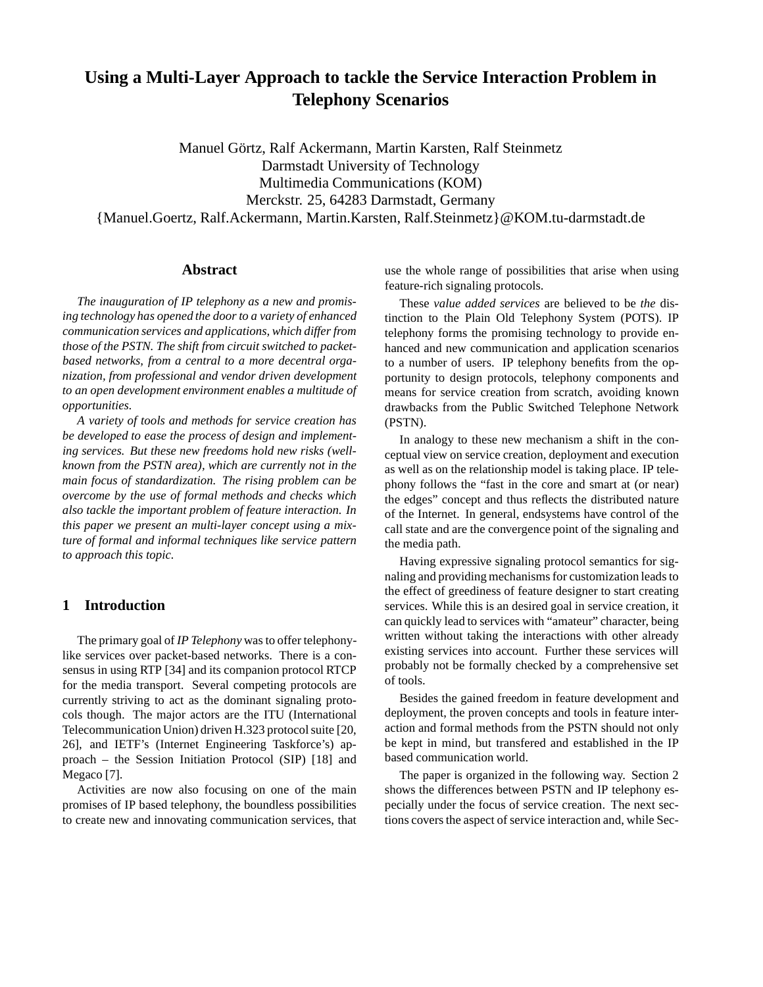# **Using a Multi-Layer Approach to tackle the Service Interaction Problem in Telephony Scenarios**

Manuel Görtz, Ralf Ackermann, Martin Karsten, Ralf Steinmetz Darmstadt University of Technology Multimedia Communications (KOM) Merckstr. 25, 64283 Darmstadt, Germany {Manuel.Goertz, Ralf.Ackermann, Martin.Karsten, Ralf.Steinmetz}@KOM.tu-darmstadt.de

## **Abstract**

*The inauguration of IP telephony as a new and promising technology has opened the door to a variety of enhanced communication services and applications, which differ from those of the PSTN. The shift from circuit switched to packetbased networks, from a central to a more decentral organization, from professional and vendor driven development to an open development environment enables a multitude of opportunities.*

*A variety of tools and methods for service creation has be developed to ease the process of design and implementing services. But these new freedoms hold new risks (wellknown from the PSTN area), which are currently not in the main focus of standardization. The rising problem can be overcome by the use of formal methods and checks which also tackle the important problem of feature interaction. In this paper we present an multi-layer concept using a mixture of formal and informal techniques like service pattern to approach this topic.*

## **1 Introduction**

The primary goal of *IP Telephony* was to offer telephonylike services over packet-based networks. There is a consensus in using RTP [34] and its companion protocol RTCP for the media transport. Several competing protocols are currently striving to act as the dominant signaling protocols though. The major actors are the ITU (International Telecommunication Union) driven H.323 protocol suite [20, 26], and IETF's (Internet Engineering Taskforce's) approach – the Session Initiation Protocol (SIP) [18] and Megaco [7].

Activities are now also focusing on one of the main promises of IP based telephony, the boundless possibilities to create new and innovating communication services, that

use the whole range of possibilities that arise when using feature-rich signaling protocols.

These *value added services* are believed to be *the* distinction to the Plain Old Telephony System (POTS). IP telephony forms the promising technology to provide enhanced and new communication and application scenarios to a number of users. IP telephony benefits from the opportunity to design protocols, telephony components and means for service creation from scratch, avoiding known drawbacks from the Public Switched Telephone Network (PSTN).

In analogy to these new mechanism a shift in the conceptual view on service creation, deployment and execution as well as on the relationship model is taking place. IP telephony follows the "fast in the core and smart at (or near) the edges" concept and thus reflects the distributed nature of the Internet. In general, endsystems have control of the call state and are the convergence point of the signaling and the media path.

Having expressive signaling protocol semantics for signaling and providing mechanismsfor customization leads to the effect of greediness of feature designer to start creating services. While this is an desired goal in service creation, it can quickly lead to services with "amateur" character, being written without taking the interactions with other already existing services into account. Further these services will probably not be formally checked by a comprehensive set of tools.

Besides the gained freedom in feature development and deployment, the proven concepts and tools in feature interaction and formal methods from the PSTN should not only be kept in mind, but transfered and established in the IP based communication world.

The paper is organized in the following way. Section 2 shows the differences between PSTN and IP telephony especially under the focus of service creation. The next sections covers the aspect of service interaction and, while Sec-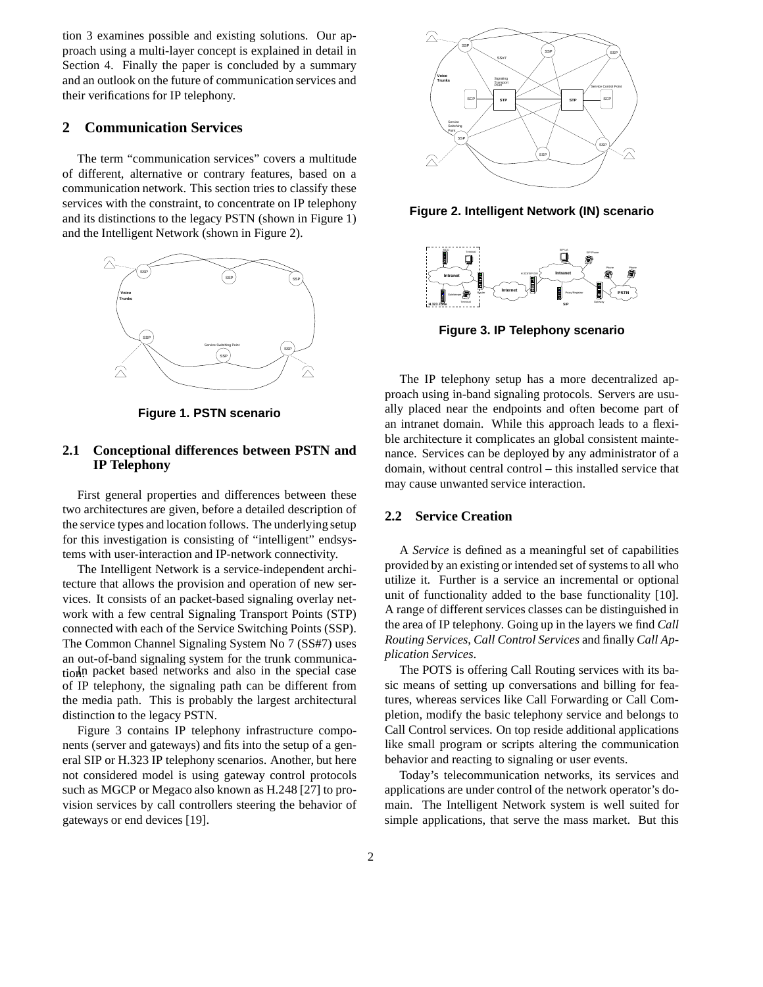tion 3 examines possible and existing solutions. Our approach using a multi-layer concept is explained in detail in Section 4. Finally the paper is concluded by a summary and an outlook on the future of communication services and their verifications for IP telephony.

## **2 Communication Services**

The term "communication services" covers a multitude of different, alternative or contrary features, based on a communication network. This section tries to classify these services with the constraint, to concentrate on IP telephony and its distinctions to the legacy PSTN (shown in Figure 1) and the Intelligent Network (shown in Figure 2).



**Figure 1. PSTN scenario**

## **2.1 Conceptional differences between PSTN and IP Telephony**

First general properties and differences between these two architectures are given, before a detailed description of the service types and location follows. The underlying setup for this investigation is consisting of "intelligent" endsystems with user-interaction and IP-network connectivity.

The Intelligent Network is a service-independent architecture that allows the provision and operation of new services. It consists of an packet-based signaling overlay network with a few central Signaling Transport Points (STP) connected with each of the Service Switching Points (SSP). The Common Channel Signaling System No 7 (SS#7) uses an out-of-band signaling system for the trunk communication<sup>In</sup> packet based networks and also in the special case of IP telephony, the signaling path can be different from the media path. This is probably the largest architectural distinction to the legacy PSTN.

Figure 3 contains IP telephony infrastructure components (server and gateways) and fits into the setup of a general SIP or H.323 IP telephony scenarios. Another, but here not considered model is using gateway control protocols such as MGCP or Megaco also known as H.248 [27] to provision services by call controllers steering the behavior of gateways or end devices [19].



**Figure 2. Intelligent Network (IN) scenario**



**Figure 3. IP Telephony scenario**

The IP telephony setup has a more decentralized approach using in-band signaling protocols. Servers are usually placed near the endpoints and often become part of an intranet domain. While this approach leads to a flexible architecture it complicates an global consistent maintenance. Services can be deployed by any administrator of a domain, without central control – this installed service that may cause unwanted service interaction.

### **2.2 Service Creation**

A *Service* is defined as a meaningful set of capabilities provided by an existing or intended set of systems to all who utilize it. Further is a service an incremental or optional unit of functionality added to the base functionality [10]. A range of different services classes can be distinguished in the area of IP telephony. Going up in the layers we find *Call Routing Services*, *Call Control Services* and finally *Call Application Services*.

The POTS is offering Call Routing services with its basic means of setting up conversations and billing for features, whereas services like Call Forwarding or Call Completion, modify the basic telephony service and belongs to Call Control services. On top reside additional applications like small program or scripts altering the communication behavior and reacting to signaling or user events.

Today's telecommunication networks, its services and applications are under control of the network operator's domain. The Intelligent Network system is well suited for simple applications, that serve the mass market. But this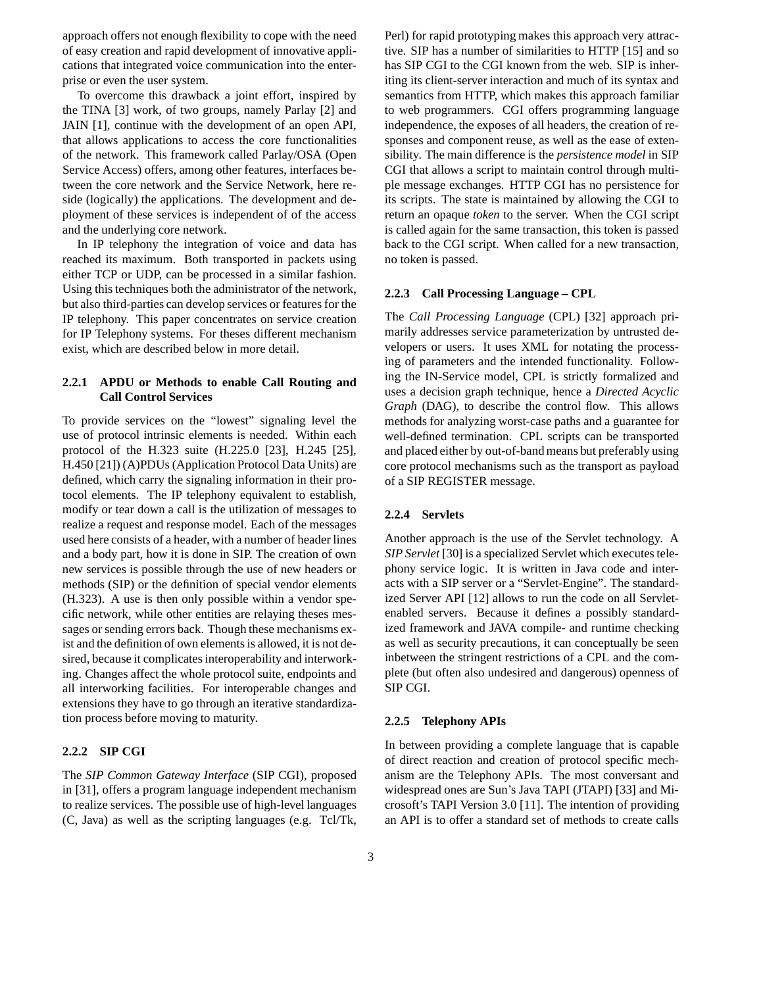approach offers not enough flexibility to cope with the need of easy creation and rapid development of innovative applications that integrated voice communication into the enterprise or even the user system.

To overcome this drawback a joint effort, inspired by the TINA [3] work, of two groups, namely Parlay [2] and JAIN [1], continue with the development of an open API, that allows applications to access the core functionalities of the network. This framework called Parlay/OSA (Open Service Access) offers, among other features, interfaces between the core network and the Service Network, here reside (logically) the applications. The development and deployment of these services is independent of of the access and the underlying core network.

In IP telephony the integration of voice and data has reached its maximum. Both transported in packets using either TCP or UDP, can be processed in a similar fashion. Using this techniques both the administrator of the network, but also third-parties can develop services or features for the IP telephony. This paper concentrates on service creation for IP Telephony systems. For theses different mechanism exist, which are described below in more detail.

## **2.2.1 APDU or Methods to enable Call Routing and Call Control Services**

To provide services on the "lowest" signaling level the use of protocol intrinsic elements is needed. Within each protocol of the H.323 suite (H.225.0 [23], H.245 [25], H.450 [21]) (A)PDUs (Application Protocol Data Units) are defined, which carry the signaling information in their protocol elements. The IP telephony equivalent to establish, modify or tear down a call is the utilization of messages to realize a request and response model. Each of the messages used here consists of a header, with a number of header lines and a body part, how it is done in SIP. The creation of own new services is possible through the use of new headers or methods (SIP) or the definition of special vendor elements (H.323). A use is then only possible within a vendor specific network, while other entities are relaying theses messages or sending errors back. Though these mechanisms exist and the definition of own elements is allowed, it is not desired, because it complicates interoperability and interworking. Changes affect the whole protocol suite, endpoints and all interworking facilities. For interoperable changes and extensions they have to go through an iterative standardization process before moving to maturity.

### **2.2.2 SIP CGI**

The *SIP Common Gateway Interface* (SIP CGI), proposed in [31], offers a program language independent mechanism to realize services. The possible use of high-level languages (C, Java) as well as the scripting languages (e.g. Tcl/Tk,

Perl) for rapid prototyping makes this approach very attractive. SIP has a number of similarities to HTTP [15] and so has SIP CGI to the CGI known from the web. SIP is inheriting its client-server interaction and much of its syntax and semantics from HTTP, which makes this approach familiar to web programmers. CGI offers programming language independence, the exposes of all headers, the creation of responses and component reuse, as well as the ease of extensibility. The main difference is the *persistence model* in SIP CGI that allows a script to maintain control through multiple message exchanges. HTTP CGI has no persistence for its scripts. The state is maintained by allowing the CGI to return an opaque *token* to the server. When the CGI script is called again for the same transaction, this token is passed back to the CGI script. When called for a new transaction, no token is passed.

### **2.2.3 Call Processing Language – CPL**

The *Call Processing Language* (CPL) [32] approach primarily addresses service parameterization by untrusted developers or users. It uses XML for notating the processing of parameters and the intended functionality. Following the IN-Service model, CPL is strictly formalized and uses a decision graph technique, hence a *Directed Acyclic Graph* (DAG), to describe the control flow. This allows methods for analyzing worst-case paths and a guarantee for well-defined termination. CPL scripts can be transported and placed either by out-of-bandmeans but preferably using core protocol mechanisms such as the transport as payload of a SIP REGISTER message.

### **2.2.4 Servlets**

Another approach is the use of the Servlet technology. A *SIP Servlet* [30] is a specialized Servlet which executes telephony service logic. It is written in Java code and interacts with a SIP server or a "Servlet-Engine". The standardized Server API [12] allows to run the code on all Servletenabled servers. Because it defines a possibly standardized framework and JAVA compile- and runtime checking as well as security precautions, it can conceptually be seen inbetween the stringent restrictions of a CPL and the complete (but often also undesired and dangerous) openness of SIP CGI.

#### **2.2.5 Telephony APIs**

In between providing a complete language that is capable of direct reaction and creation of protocol specific mechanism are the Telephony APIs. The most conversant and widespread ones are Sun's Java TAPI (JTAPI) [33] and Microsoft's TAPI Version 3.0 [11]. The intention of providing an API is to offer a standard set of methods to create calls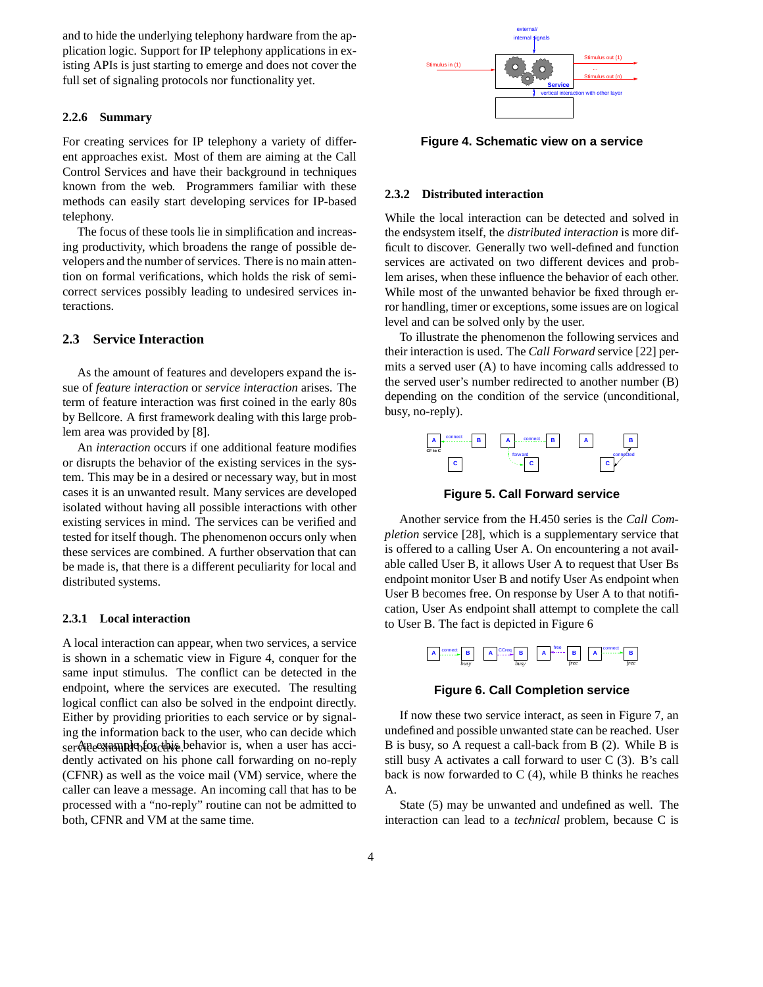and to hide the underlying telephony hardware from the application logic. Support for IP telephony applications in existing APIs is just starting to emerge and does not cover the full set of signaling protocols nor functionality yet.

### **2.2.6 Summary**

For creating services for IP telephony a variety of different approaches exist. Most of them are aiming at the Call Control Services and have their background in techniques known from the web. Programmers familiar with these methods can easily start developing services for IP-based telephony.

The focus of these tools lie in simplification and increasing productivity, which broadens the range of possible developers and the number of services. There is no main attention on formal verifications, which holds the risk of semicorrect services possibly leading to undesired services interactions.

### **2.3 Service Interaction**

As the amount of features and developers expand the issue of *feature interaction* or *service interaction* arises. The term of feature interaction was first coined in the early 80s by Bellcore. A first framework dealing with this large problem area was provided by [8].

An *interaction* occurs if one additional feature modifies or disrupts the behavior of the existing services in the system. This may be in a desired or necessary way, but in most cases it is an unwanted result. Many services are developed isolated without having all possible interactions with other existing services in mind. The services can be verified and tested for itself though. The phenomenon occurs only when these services are combined. A further observation that can be made is, that there is a different peculiarity for local and distributed systems.

### **2.3.1 Local interaction**

A local interaction can appear, when two services, a service is shown in a schematic view in Figure 4, conquer for the same input stimulus. The conflict can be detected in the endpoint, where the services are executed. The resulting logical conflict can also be solved in the endpoint directly. Either by providing priorities to each service or by signaling the information back to the user, who can decide which  $ser\mathcal{A}$  be exhaustly active. behavior is, when a user has accidently activated on his phone call forwarding on no-reply (CFNR) as well as the voice mail (VM) service, where the caller can leave a message. An incoming call that has to be processed with a "no-reply" routine can not be admitted to both, CFNR and VM at the same time.



**Figure 4. Schematic view on a service**

### **2.3.2 Distributed interaction**

While the local interaction can be detected and solved in the endsystem itself, the *distributed interaction* is more difficult to discover. Generally two well-defined and function services are activated on two different devices and problem arises, when these influence the behavior of each other. While most of the unwanted behavior be fixed through error handling, timer or exceptions, some issues are on logical level and can be solved only by the user.

To illustrate the phenomenon the following services and their interaction is used. The *Call Forward* service [22] permits a served user (A) to have incoming calls addressed to the served user's number redirected to another number (B) depending on the condition of the service (unconditional, busy, no-reply).



**Figure 5. Call Forward service**

Another service from the H.450 series is the *Call Completion* service [28], which is a supplementary service that is offered to a calling User A. On encountering a not available called User B, it allows User A to request that User Bs endpoint monitor User B and notify User As endpoint when User B becomes free. On response by User A to that notification, User As endpoint shall attempt to complete the call to User B. The fact is depicted in Figure 6



### **Figure 6. Call Completion service**

If now these two service interact, as seen in Figure 7, an undefined and possible unwanted state can be reached. User B is busy, so A request a call-back from B (2). While B is still busy A activates a call forward to user C (3). B's call back is now forwarded to  $C(4)$ , while B thinks he reaches A.

State (5) may be unwanted and undefined as well. The interaction can lead to a *technical* problem, because C is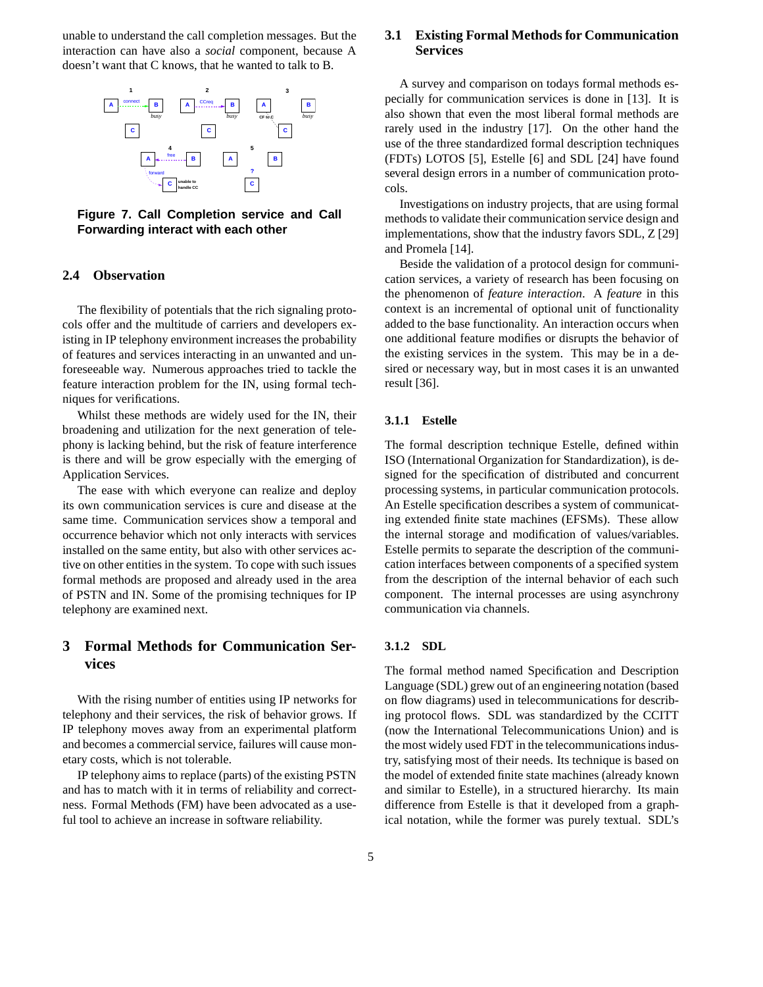unable to understand the call completion messages. But the interaction can have also a *social* component, because A doesn't want that C knows, that he wanted to talk to B.



**Figure 7. Call Completion service and Call Forwarding interact with each other**

### **2.4 Observation**

The flexibility of potentials that the rich signaling protocols offer and the multitude of carriers and developers existing in IP telephony environment increases the probability of features and services interacting in an unwanted and unforeseeable way. Numerous approaches tried to tackle the feature interaction problem for the IN, using formal techniques for verifications.

Whilst these methods are widely used for the IN, their broadening and utilization for the next generation of telephony is lacking behind, but the risk of feature interference is there and will be grow especially with the emerging of Application Services.

The ease with which everyone can realize and deploy its own communication services is cure and disease at the same time. Communication services show a temporal and occurrence behavior which not only interacts with services installed on the same entity, but also with other services active on other entities in the system. To cope with such issues formal methods are proposed and already used in the area of PSTN and IN. Some of the promising techniques for IP telephony are examined next.

## **3 Formal Methods for Communication Services**

With the rising number of entities using IP networks for telephony and their services, the risk of behavior grows. If IP telephony moves away from an experimental platform and becomes a commercial service, failures will cause monetary costs, which is not tolerable.

IP telephony aims to replace (parts) of the existing PSTN and has to match with it in terms of reliability and correctness. Formal Methods (FM) have been advocated as a useful tool to achieve an increase in software reliability.

## **3.1 Existing Formal Methodsfor Communication Services**

A survey and comparison on todays formal methods especially for communication services is done in [13]. It is also shown that even the most liberal formal methods are rarely used in the industry [17]. On the other hand the use of the three standardized formal description techniques (FDTs) LOTOS [5], Estelle [6] and SDL [24] have found several design errors in a number of communication protocols.

Investigations on industry projects, that are using formal methods to validate their communication service design and implementations, show that the industry favors SDL, Z [29] and Promela [14].

Beside the validation of a protocol design for communication services, a variety of research has been focusing on the phenomenon of *feature interaction*. A *feature* in this context is an incremental of optional unit of functionality added to the base functionality. An interaction occurs when one additional feature modifies or disrupts the behavior of the existing services in the system. This may be in a desired or necessary way, but in most cases it is an unwanted result [36].

## **3.1.1 Estelle**

The formal description technique Estelle, defined within ISO (International Organization for Standardization), is designed for the specification of distributed and concurrent processing systems, in particular communication protocols. An Estelle specification describes a system of communicating extended finite state machines (EFSMs). These allow the internal storage and modification of values/variables. Estelle permits to separate the description of the communication interfaces between components of a specified system from the description of the internal behavior of each such component. The internal processes are using asynchrony communication via channels.

### **3.1.2 SDL**

The formal method named Specification and Description Language (SDL) grew out of an engineering notation (based on flow diagrams) used in telecommunications for describing protocol flows. SDL was standardized by the CCITT (now the International Telecommunications Union) and is the most widely used FDT in the telecommunications industry, satisfying most of their needs. Its technique is based on the model of extended finite state machines (already known and similar to Estelle), in a structured hierarchy. Its main difference from Estelle is that it developed from a graphical notation, while the former was purely textual. SDL's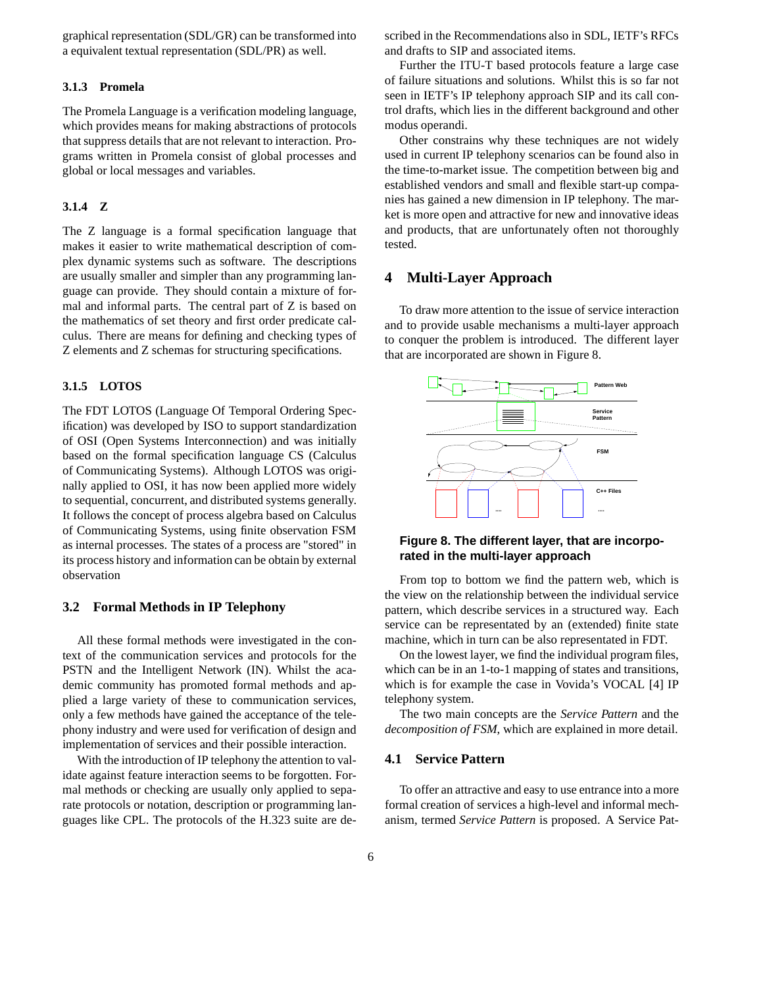graphical representation (SDL/GR) can be transformed into a equivalent textual representation (SDL/PR) as well.

### **3.1.3 Promela**

The Promela Language is a verification modeling language, which provides means for making abstractions of protocols that suppress details that are not relevant to interaction. Programs written in Promela consist of global processes and global or local messages and variables.

### **3.1.4 Z**

The Z language is a formal specification language that makes it easier to write mathematical description of complex dynamic systems such as software. The descriptions are usually smaller and simpler than any programming language can provide. They should contain a mixture of formal and informal parts. The central part of Z is based on the mathematics of set theory and first order predicate calculus. There are means for defining and checking types of Z elements and Z schemas for structuring specifications.

## **3.1.5 LOTOS**

The FDT LOTOS (Language Of Temporal Ordering Specification) was developed by ISO to support standardization of OSI (Open Systems Interconnection) and was initially based on the formal specification language CS (Calculus of Communicating Systems). Although LOTOS was originally applied to OSI, it has now been applied more widely to sequential, concurrent, and distributed systems generally. It follows the concept of process algebra based on Calculus of Communicating Systems, using finite observation FSM as internal processes. The states of a process are "stored" in its process history and information can be obtain by external observation

## **3.2 Formal Methods in IP Telephony**

All these formal methods were investigated in the context of the communication services and protocols for the PSTN and the Intelligent Network (IN). Whilst the academic community has promoted formal methods and applied a large variety of these to communication services, only a few methods have gained the acceptance of the telephony industry and were used for verification of design and implementation of services and their possible interaction.

With the introduction of IP telephony the attention to validate against feature interaction seems to be forgotten. Formal methods or checking are usually only applied to separate protocols or notation, description or programming languages like CPL. The protocols of the H.323 suite are described in the Recommendations also in SDL, IETF's RFCs and drafts to SIP and associated items.

Further the ITU-T based protocols feature a large case of failure situations and solutions. Whilst this is so far not seen in IETF's IP telephony approach SIP and its call control drafts, which lies in the different background and other modus operandi.

Other constrains why these techniques are not widely used in current IP telephony scenarios can be found also in the time-to-market issue. The competition between big and established vendors and small and flexible start-up companies has gained a new dimension in IP telephony. The market is more open and attractive for new and innovative ideas and products, that are unfortunately often not thoroughly tested.

## **4 Multi-Layer Approach**

To draw more attention to the issue of service interaction and to provide usable mechanisms a multi-layer approach to conquer the problem is introduced. The different layer that are incorporated are shown in Figure 8.



### **Figure 8. The different layer, that are incorporated in the multi-layer approach**

From top to bottom we find the pattern web, which is the view on the relationship between the individual service pattern, which describe services in a structured way. Each service can be representated by an (extended) finite state machine, which in turn can be also representated in FDT.

On the lowest layer, we find the individual program files, which can be in an 1-to-1 mapping of states and transitions, which is for example the case in Vovida's VOCAL [4] IP telephony system.

The two main concepts are the *Service Pattern* and the *decomposition of FSM*, which are explained in more detail.

## **4.1 Service Pattern**

To offer an attractive and easy to use entrance into a more formal creation of services a high-level and informal mechanism, termed *Service Pattern* is proposed. A Service Pat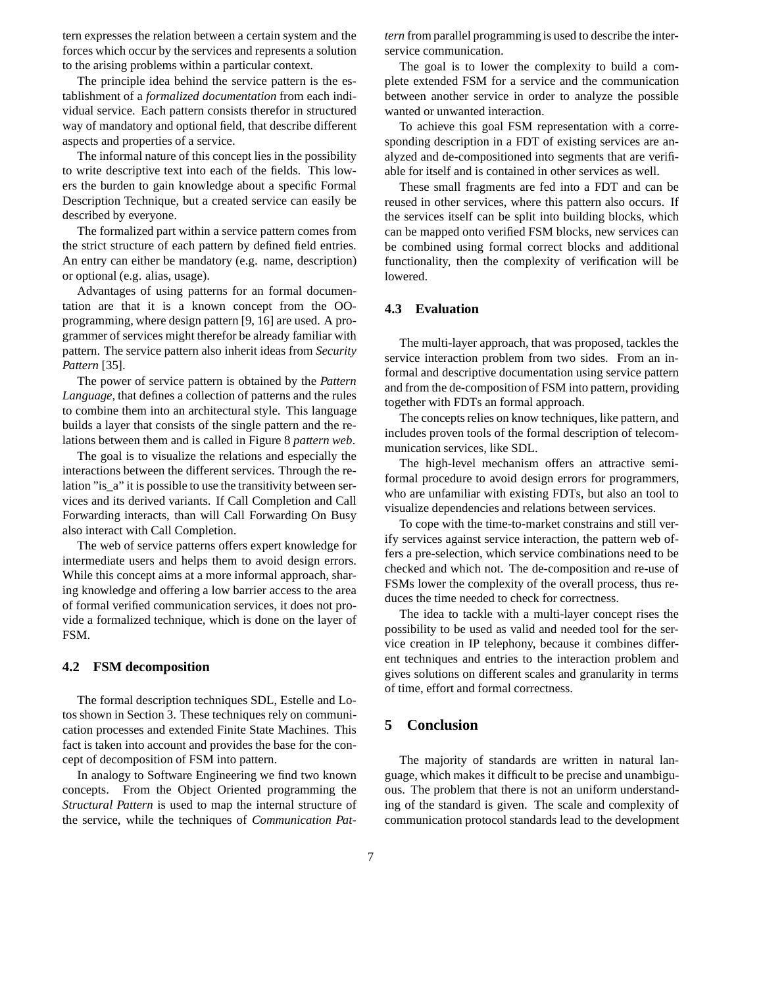tern expresses the relation between a certain system and the forces which occur by the services and represents a solution to the arising problems within a particular context.

The principle idea behind the service pattern is the establishment of a *formalized documentation* from each individual service. Each pattern consists therefor in structured way of mandatory and optional field, that describe different aspects and properties of a service.

The informal nature of this concept lies in the possibility to write descriptive text into each of the fields. This lowers the burden to gain knowledge about a specific Formal Description Technique, but a created service can easily be described by everyone.

The formalized part within a service pattern comes from the strict structure of each pattern by defined field entries. An entry can either be mandatory (e.g. name, description) or optional (e.g. alias, usage).

Advantages of using patterns for an formal documentation are that it is a known concept from the OOprogramming, where design pattern [9, 16] are used. A programmer of services might therefor be already familiar with pattern. The service pattern also inherit ideas from *Security Pattern* [35].

The power of service pattern is obtained by the *Pattern Language*, that defines a collection of patterns and the rules to combine them into an architectural style. This language builds a layer that consists of the single pattern and the relations between them and is called in Figure 8 *pattern web*.

The goal is to visualize the relations and especially the interactions between the different services. Through the relation "is\_a" it is possible to use the transitivity between services and its derived variants. If Call Completion and Call Forwarding interacts, than will Call Forwarding On Busy also interact with Call Completion.

The web of service patterns offers expert knowledge for intermediate users and helps them to avoid design errors. While this concept aims at a more informal approach, sharing knowledge and offering a low barrier access to the area of formal verified communication services, it does not provide a formalized technique, which is done on the layer of FSM.

### **4.2 FSM decomposition**

The formal description techniques SDL, Estelle and Lotos shown in Section 3. These techniques rely on communication processes and extended Finite State Machines. This fact is taken into account and provides the base for the concept of decomposition of FSM into pattern.

In analogy to Software Engineering we find two known concepts. From the Object Oriented programming the *Structural Pattern* is used to map the internal structure of the service, while the techniques of *Communication Pat-* *tern* from parallel programming is used to describe the interservice communication.

The goal is to lower the complexity to build a complete extended FSM for a service and the communication between another service in order to analyze the possible wanted or unwanted interaction.

To achieve this goal FSM representation with a corresponding description in a FDT of existing services are analyzed and de-compositioned into segments that are verifiable for itself and is contained in other services as well.

These small fragments are fed into a FDT and can be reused in other services, where this pattern also occurs. If the services itself can be split into building blocks, which can be mapped onto verified FSM blocks, new services can be combined using formal correct blocks and additional functionality, then the complexity of verification will be lowered.

## **4.3 Evaluation**

The multi-layer approach, that was proposed, tackles the service interaction problem from two sides. From an informal and descriptive documentation using service pattern and from the de-composition of FSM into pattern, providing together with FDTs an formal approach.

The concepts relies on know techniques, like pattern, and includes proven tools of the formal description of telecommunication services, like SDL.

The high-level mechanism offers an attractive semiformal procedure to avoid design errors for programmers, who are unfamiliar with existing FDTs, but also an tool to visualize dependencies and relations between services.

To cope with the time-to-market constrains and still verify services against service interaction, the pattern web offers a pre-selection, which service combinations need to be checked and which not. The de-composition and re-use of FSMs lower the complexity of the overall process, thus reduces the time needed to check for correctness.

The idea to tackle with a multi-layer concept rises the possibility to be used as valid and needed tool for the service creation in IP telephony, because it combines different techniques and entries to the interaction problem and gives solutions on different scales and granularity in terms of time, effort and formal correctness.

## **5 Conclusion**

The majority of standards are written in natural language, which makes it difficult to be precise and unambiguous. The problem that there is not an uniform understanding of the standard is given. The scale and complexity of communication protocol standards lead to the development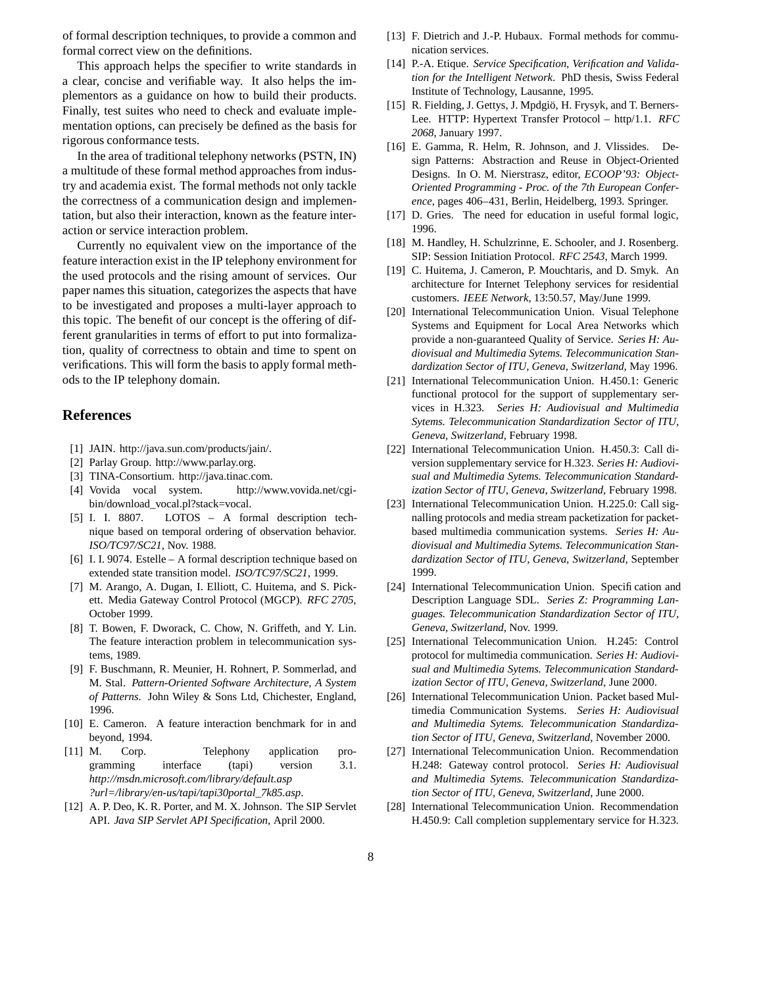of formal description techniques, to provide a common and formal correct view on the definitions.

This approach helps the specifier to write standards in a clear, concise and verifiable way. It also helps the implementors as a guidance on how to build their products. Finally, test suites who need to check and evaluate implementation options, can precisely be defined as the basis for rigorous conformance tests.

In the area of traditional telephony networks (PSTN, IN) a multitude of these formal method approaches from industry and academia exist. The formal methods not only tackle the correctness of a communication design and implementation, but also their interaction, known as the feature interaction or service interaction problem.

Currently no equivalent view on the importance of the feature interaction exist in the IP telephony environment for the used protocols and the rising amount of services. Our paper names this situation, categorizes the aspects that have to be investigated and proposes a multi-layer approach to this topic. The benefit of our concept is the offering of different granularities in terms of effort to put into formalization, quality of correctness to obtain and time to spent on verifications. This will form the basis to apply formal methods to the IP telephony domain.

## **References**

- [1] JAIN. http://java.sun.com/products/jain/.
- [2] Parlay Group. http://www.parlay.org.
- [3] TINA-Consortium. http://java.tinac.com.
- [4] Vovida vocal system. http://www.vovida.net/cgibin/download\_vocal.pl?stack=vocal.
- [5] I. I. 8807. LOTOS A formal description technique based on temporal ordering of observation behavior. *ISO/TC97/SC21*, Nov. 1988.
- [6] I. I. 9074. Estelle A formal description technique based on extended state transition model. *ISO/TC97/SC21*, 1999.
- [7] M. Arango, A. Dugan, I. Elliott, C. Huitema, and S. Pickett. Media Gateway Control Protocol (MGCP). *RFC 2705*, October 1999.
- [8] T. Bowen, F. Dworack, C. Chow, N. Griffeth, and Y. Lin. The feature interaction problem in telecommunication systems, 1989.
- [9] F. Buschmann, R. Meunier, H. Rohnert, P. Sommerlad, and M. Stal. *Pattern-Oriented Software Architecture, A System of Patterns*. John Wiley & Sons Ltd, Chichester, England, 1996.
- [10] E. Cameron. A feature interaction benchmark for in and beyond, 1994.
- [11] M. Corp. Telephony application programming interface (tapi) version 3.1. *http://msdn.microsoft.com/library/default.asp ?url=/library/en-us/tapi/tapi30portal\_7k85.asp*.
- [12] A. P. Deo, K. R. Porter, and M. X. Johnson. The SIP Servlet API. *Java SIP Servlet API Specification*, April 2000.
- [13] F. Dietrich and J.-P. Hubaux. Formal methods for communication services.
- [14] P.-A. Etique. *Service Specification, Verification and Validation for the Intelligent Network*. PhD thesis, Swiss Federal Institute of Technology, Lausanne, 1995.
- [15] R. Fielding, J. Gettys, J. Mpdgiö, H. Frysyk, and T. Berners-Lee. HTTP: Hypertext Transfer Protocol – http/1.1. *RFC 2068*, January 1997.
- [16] E. Gamma, R. Helm, R. Johnson, and J. Vlissides. Design Patterns: Abstraction and Reuse in Object-Oriented Designs. In O. M. Nierstrasz, editor, *ECOOP'93: Object-Oriented Programming - Proc. of the 7th European Conference*, pages 406–431, Berlin, Heidelberg, 1993. Springer.
- [17] D. Gries. The need for education in useful formal logic, 1996.
- [18] M. Handley, H. Schulzrinne, E. Schooler, and J. Rosenberg. SIP: Session Initiation Protocol. *RFC 2543*, March 1999.
- [19] C. Huitema, J. Cameron, P. Mouchtaris, and D. Smyk. An architecture for Internet Telephony services for residential customers. *IEEE Network*, 13:50.57, May/June 1999.
- [20] International Telecommunication Union. Visual Telephone Systems and Equipment for Local Area Networks which provide a non-guaranteed Quality of Service. *Series H: Audiovisual and Multimedia Sytems. Telecommunication Standardization Sector of ITU, Geneva, Switzerland*, May 1996.
- [21] International Telecommunication Union. H.450.1: Generic functional protocol for the support of supplementary services in H.323. *Series H: Audiovisual and Multimedia Sytems. Telecommunication Standardization Sector of ITU, Geneva, Switzerland*, February 1998.
- [22] International Telecommunication Union. H.450.3: Call diversion supplementary service for H.323. *Series H: Audiovisual and Multimedia Sytems. Telecommunication Standardization Sector of ITU, Geneva, Switzerland*, February 1998.
- [23] International Telecommunication Union. H.225.0: Call signalling protocols and media stream packetization for packetbased multimedia communication systems. *Series H: Audiovisual and Multimedia Sytems. Telecommunication Standardization Sector of ITU, Geneva, Switzerland*, September 1999.
- [24] International Telecommunication Union. Specification and Description Language SDL. *Series Z: Programming Languages. Telecommunication Standardization Sector of ITU, Geneva, Switzerland*, Nov. 1999.
- [25] International Telecommunication Union. H.245: Control protocol for multimedia communication. *Series H: Audiovisual and Multimedia Sytems. Telecommunication Standardization Sector of ITU, Geneva, Switzerland*, June 2000.
- [26] International Telecommunication Union. Packet based Multimedia Communication Systems. *Series H: Audiovisual and Multimedia Sytems. Telecommunication Standardization Sector of ITU, Geneva, Switzerland*, November 2000.
- [27] International Telecommunication Union. Recommendation H.248: Gateway control protocol. *Series H: Audiovisual and Multimedia Sytems. Telecommunication Standardization Sector of ITU, Geneva, Switzerland*, June 2000.
- [28] International Telecommunication Union. Recommendation H.450.9: Call completion supplementary service for H.323.